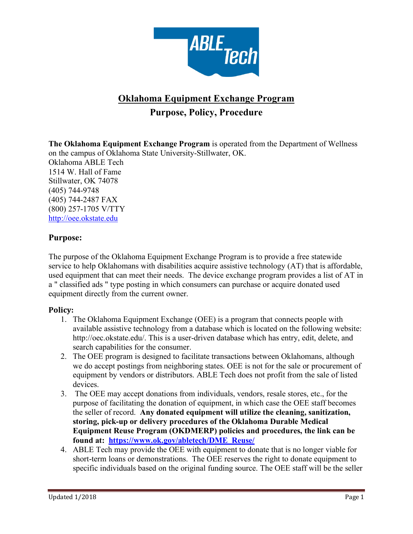

# **Oklahoma Equipment Exchange Program Purpose, Policy, Procedure**

**The Oklahoma Equipment Exchange Program** is operated from the Department of Wellness on the campus of Oklahoma State University-Stillwater, OK. Oklahoma ABLE Tech 1514 W. Hall of Fame Stillwater, OK 74078 (405) 744-9748 (405) 744-2487 FAX (800) 257-1705 V/TTY http://oee.okstate.edu

# **Purpose:**

The purpose of the Oklahoma Equipment Exchange Program is to provide a free statewide service to help Oklahomans with disabilities acquire assistive technology (AT) that is affordable, used equipment that can meet their needs. The device exchange program provides a list of AT in a " classified ads " type posting in which consumers can purchase or acquire donated used equipment directly from the current owner.

# **Policy:**

- 1. The Oklahoma Equipment Exchange (OEE) is a program that connects people with available assistive technology from a database which is located on the following website: http://oec.okstate.edu/. This is a user-driven database which has entry, edit, delete, and search capabilities for the consumer.
- 2. The OEE program is designed to facilitate transactions between Oklahomans, although we do accept postings from neighboring states. OEE is not for the sale or procurement of equipment by vendors or distributors. ABLE Tech does not profit from the sale of listed devices.
- 3. The OEE may accept donations from individuals, vendors, resale stores, etc., for the purpose of facilitating the donation of equipment, in which case the OEE staff becomes the seller of record. **Any donated equipment will utilize the cleaning, sanitization, storing, pick-up or delivery procedures of the Oklahoma Durable Medical Equipment Reuse Program (OKDMERP) policies and procedures, the link can be found at: https://www.ok.gov/abletech/DME\_Reuse/**
- 4. ABLE Tech may provide the OEE with equipment to donate that is no longer viable for short-term loans or demonstrations. The OEE reserves the right to donate equipment to specific individuals based on the original funding source. The OEE staff will be the seller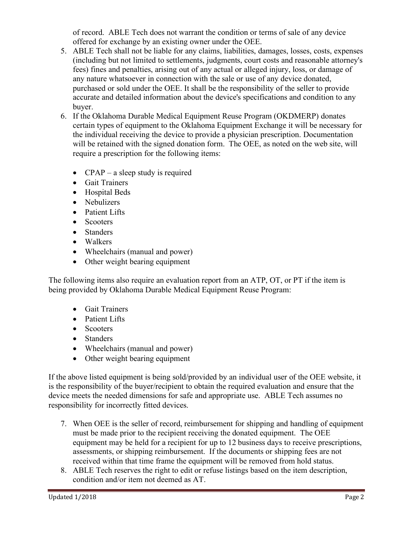of record. ABLE Tech does not warrant the condition or terms of sale of any device offered for exchange by an existing owner under the OEE.

- 5. ABLE Tech shall not be liable for any claims, liabilities, damages, losses, costs, expenses (including but not limited to settlements, judgments, court costs and reasonable attorney's fees) fines and penalties, arising out of any actual or alleged injury, loss, or damage of any nature whatsoever in connection with the sale or use of any device donated, purchased or sold under the OEE. It shall be the responsibility of the seller to provide accurate and detailed information about the device's specifications and condition to any buyer.
- 6. If the Oklahoma Durable Medical Equipment Reuse Program (OKDMERP) donates certain types of equipment to the Oklahoma Equipment Exchange it will be necessary for the individual receiving the device to provide a physician prescription. Documentation will be retained with the signed donation form. The OEE, as noted on the web site, will require a prescription for the following items:
	- CPAP a sleep study is required
	- Gait Trainers
	- Hospital Beds
	- Nebulizers
	- Patient Lifts
	- Scooters
	- Standers
	- Walkers
	- Wheelchairs (manual and power)
	- Other weight bearing equipment

The following items also require an evaluation report from an ATP, OT, or PT if the item is being provided by Oklahoma Durable Medical Equipment Reuse Program:

- Gait Trainers
- Patient Lifts
- Scooters
- Standers
- Wheelchairs (manual and power)
- Other weight bearing equipment

If the above listed equipment is being sold/provided by an individual user of the OEE website, it is the responsibility of the buyer/recipient to obtain the required evaluation and ensure that the device meets the needed dimensions for safe and appropriate use. ABLE Tech assumes no responsibility for incorrectly fitted devices.

- 7. When OEE is the seller of record, reimbursement for shipping and handling of equipment must be made prior to the recipient receiving the donated equipment. The OEE equipment may be held for a recipient for up to 12 business days to receive prescriptions, assessments, or shipping reimbursement. If the documents or shipping fees are not received within that time frame the equipment will be removed from hold status.
- 8. ABLE Tech reserves the right to edit or refuse listings based on the item description, condition and/or item not deemed as AT.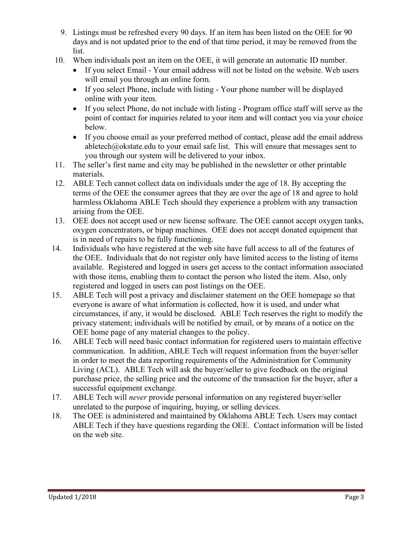- 9. Listings must be refreshed every 90 days. If an item has been listed on the OEE for 90 days and is not updated prior to the end of that time period, it may be removed from the list.
- 10. When individuals post an item on the OEE, it will generate an automatic ID number.
	- If you select Email Your email address will not be listed on the website. Web users will email you through an online form.
	- If you select Phone, include with listing Your phone number will be displayed online with your item.
	- If you select Phone, do not include with listing Program office staff will serve as the point of contact for inquiries related to your item and will contact you via your choice below.
	- If you choose email as your preferred method of contact, please add the email address abletech@okstate.edu to your email safe list. This will ensure that messages sent to you through our system will be delivered to your inbox.
- 11. The seller's first name and city may be published in the newsletter or other printable materials.
- 12. ABLE Tech cannot collect data on individuals under the age of 18. By accepting the terms of the OEE the consumer agrees that they are over the age of 18 and agree to hold harmless Oklahoma ABLE Tech should they experience a problem with any transaction arising from the OEE.
- 13. OEE does not accept used or new license software. The OEE cannot accept oxygen tanks, oxygen concentrators, or bipap machines. OEE does not accept donated equipment that is in need of repairs to be fully functioning.
- 14. Individuals who have registered at the web site have full access to all of the features of the OEE. Individuals that do not register only have limited access to the listing of items available. Registered and logged in users get access to the contact information associated with those items, enabling them to contact the person who listed the item. Also, only registered and logged in users can post listings on the OEE.
- 15. ABLE Tech will post a privacy and disclaimer statement on the OEE homepage so that everyone is aware of what information is collected, how it is used, and under what circumstances, if any, it would be disclosed. ABLE Tech reserves the right to modify the privacy statement; individuals will be notified by email, or by means of a notice on the OEE home page of any material changes to the policy.
- 16. ABLE Tech will need basic contact information for registered users to maintain effective communication. In addition, ABLE Tech will request information from the buyer/seller in order to meet the data reporting requirements of the Administration for Community Living (ACL). ABLE Tech will ask the buyer/seller to give feedback on the original purchase price, the selling price and the outcome of the transaction for the buyer, after a successful equipment exchange.
- 17. ABLE Tech will *never* provide personal information on any registered buyer/seller unrelated to the purpose of inquiring, buying, or selling devices.
- 18. The OEE is administered and maintained by Oklahoma ABLE Tech. Users may contact ABLE Tech if they have questions regarding the OEE. Contact information will be listed on the web site.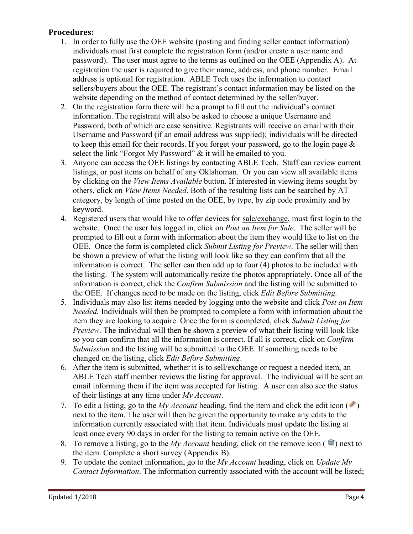# **Procedures:**

- 1. In order to fully use the OEE website (posting and finding seller contact information) individuals must first complete the registration form (and/or create a user name and password). The user must agree to the terms as outlined on the OEE (Appendix A). At registration the user is required to give their name, address, and phone number. Email address is optional for registration. ABLE Tech uses the information to contact sellers/buyers about the OEE. The registrant's contact information may be listed on the website depending on the method of contact determined by the seller/buyer.
- 2. On the registration form there will be a prompt to fill out the individual's contact information. The registrant will also be asked to choose a unique Username and Password, both of which are case sensitive. Registrants will receive an email with their Username and Password (if an email address was supplied); individuals will be directed to keep this email for their records. If you forget your password, go to the login page  $\&$ select the link "Forgot My Password" & it will be emailed to you.
- 3. Anyone can access the OEE listings by contacting ABLE Tech. Staff can review current listings, or post items on behalf of any Oklahoman. Or you can view all available items by clicking on the *View Items Available* button. If interested in viewing items sought by others, click on *View Items Needed*. Both of the resulting lists can be searched by AT category, by length of time posted on the OEE, by type, by zip code proximity and by keyword.
- 4. Registered users that would like to offer devices for sale/exchange, must first login to the website. Once the user has logged in, click on *Post an Item for Sale*. The seller will be prompted to fill out a form with information about the item they would like to list on the OEE. Once the form is completed click *Submit Listing for Preview*. The seller will then be shown a preview of what the listing will look like so they can confirm that all the information is correct. The seller can then add up to four (4) photos to be included with the listing. The system will automatically resize the photos appropriately. Once all of the information is correct, click the *Confirm Submission* and the listing will be submitted to the OEE. If changes need to be made on the listing, click *Edit Before Submitting*.
- 5. Individuals may also list items needed by logging onto the website and click *Post an Item Needed.* Individuals will then be prompted to complete a form with information about the item they are looking to acquire. Once the form is completed, click *Submit Listing for Preview*. The individual will then be shown a preview of what their listing will look like so you can confirm that all the information is correct. If all is correct, click on *Confirm Submission* and the listing will be submitted to the OEE. If something needs to be changed on the listing, click *Edit Before Submitting*.
- 6. After the item is submitted, whether it is to sell/exchange or request a needed item, an ABLE Tech staff member reviews the listing for approval. The individual will be sent an email informing them if the item was accepted for listing. A user can also see the status of their listings at any time under *My Account*.
- 7. To edit a listing, go to the *My Account* heading, find the item and click the edit icon  $\binom{1}{k}$ next to the item. The user will then be given the opportunity to make any edits to the information currently associated with that item. Individuals must update the listing at least once every 90 days in order for the listing to remain active on the OEE.
- 8. To remove a listing, go to the *My Account* heading, click on the remove icon  $(\blacksquare)$  next to the item. Complete a short survey (Appendix B).
- 9. To update the contact information, go to the *My Account* heading, click on *Update My Contact Information*. The information currently associated with the account will be listed;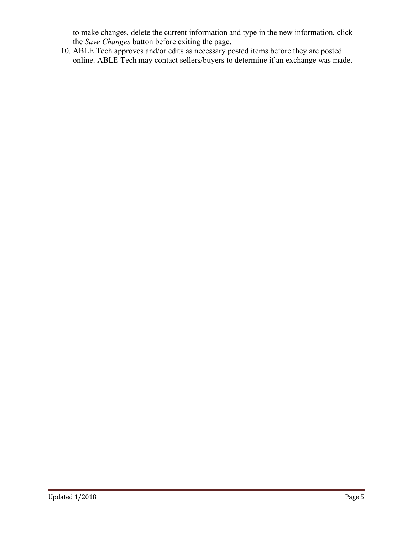to make changes, delete the current information and type in the new information, click the *Save Changes* button before exiting the page.

10. ABLE Tech approves and/or edits as necessary posted items before they are posted online. ABLE Tech may contact sellers/buyers to determine if an exchange was made.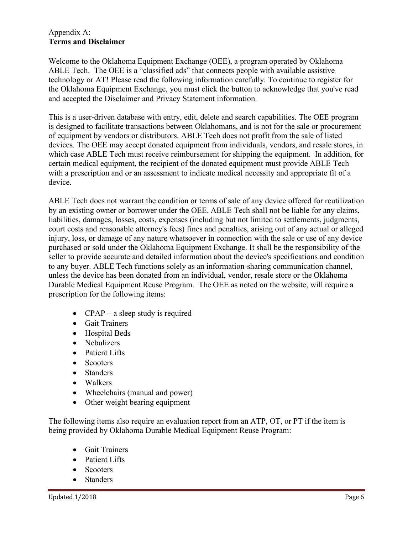#### Appendix A: **Terms and Disclaimer**

Welcome to the Oklahoma Equipment Exchange (OEE), a program operated by Oklahoma ABLE Tech. The OEE is a "classified ads" that connects people with available assistive technology or AT! Please read the following information carefully. To continue to register for the Oklahoma Equipment Exchange, you must click the button to acknowledge that you've read and accepted the Disclaimer and Privacy Statement information.

This is a user-driven database with entry, edit, delete and search capabilities. The OEE program is designed to facilitate transactions between Oklahomans, and is not for the sale or procurement of equipment by vendors or distributors. ABLE Tech does not profit from the sale of listed devices. The OEE may accept donated equipment from individuals, vendors, and resale stores, in which case ABLE Tech must receive reimbursement for shipping the equipment. In addition, for certain medical equipment, the recipient of the donated equipment must provide ABLE Tech with a prescription and or an assessment to indicate medical necessity and appropriate fit of a device.

ABLE Tech does not warrant the condition or terms of sale of any device offered for reutilization by an existing owner or borrower under the OEE. ABLE Tech shall not be liable for any claims, liabilities, damages, losses, costs, expenses (including but not limited to settlements, judgments, court costs and reasonable attorney's fees) fines and penalties, arising out of any actual or alleged injury, loss, or damage of any nature whatsoever in connection with the sale or use of any device purchased or sold under the Oklahoma Equipment Exchange. It shall be the responsibility of the seller to provide accurate and detailed information about the device's specifications and condition to any buyer. ABLE Tech functions solely as an information-sharing communication channel, unless the device has been donated from an individual, vendor, resale store or the Oklahoma Durable Medical Equipment Reuse Program. The OEE as noted on the website, will require a prescription for the following items:

- CPAP a sleep study is required
- Gait Trainers
- Hospital Beds
- Nebulizers
- Patient Lifts
- Scooters
- Standers
- Walkers
- Wheelchairs (manual and power)
- Other weight bearing equipment

The following items also require an evaluation report from an ATP, OT, or PT if the item is being provided by Oklahoma Durable Medical Equipment Reuse Program:

- Gait Trainers
- Patient Lifts
- Scooters
- Standers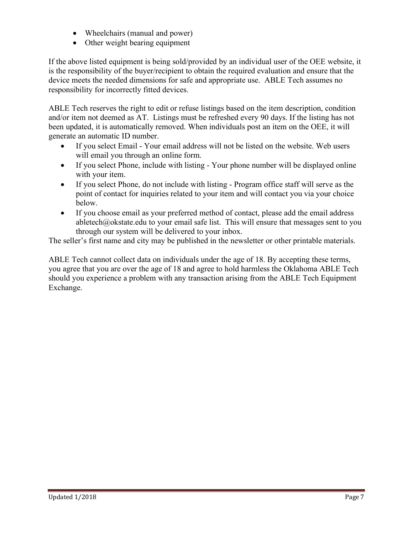- Wheelchairs (manual and power)
- Other weight bearing equipment

If the above listed equipment is being sold/provided by an individual user of the OEE website, it is the responsibility of the buyer/recipient to obtain the required evaluation and ensure that the device meets the needed dimensions for safe and appropriate use. ABLE Tech assumes no responsibility for incorrectly fitted devices.

ABLE Tech reserves the right to edit or refuse listings based on the item description, condition and/or item not deemed as AT. Listings must be refreshed every 90 days. If the listing has not been updated, it is automatically removed. When individuals post an item on the OEE, it will generate an automatic ID number.

- If you select Email Your email address will not be listed on the website. Web users will email you through an online form.
- If you select Phone, include with listing Your phone number will be displayed online with your item.
- If you select Phone, do not include with listing Program office staff will serve as the point of contact for inquiries related to your item and will contact you via your choice below.
- If you choose email as your preferred method of contact, please add the email address abletech@okstate.edu to your email safe list. This will ensure that messages sent to you through our system will be delivered to your inbox.

The seller's first name and city may be published in the newsletter or other printable materials.

ABLE Tech cannot collect data on individuals under the age of 18. By accepting these terms, you agree that you are over the age of 18 and agree to hold harmless the Oklahoma ABLE Tech should you experience a problem with any transaction arising from the ABLE Tech Equipment Exchange.